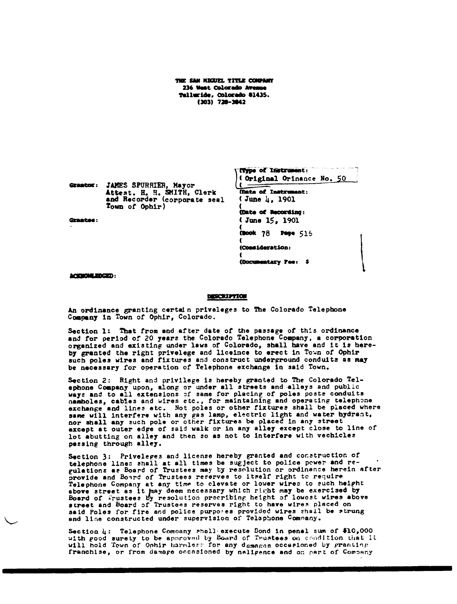THE SAN HIGUEL TITLE COMPANY 236 West Colorado Avenue Telluride, Colorado 81435.  $(303) 728 - 3842$ 

Grantor: JAMES SPURRIER, Mayor Attest. H. H. SMITH, Clerk<br>and Recorder (corporate seal Town of Ophir)

Grantee:

Original Orinance No. 50 (Date of Instrument: (June 4, 1901) (Date of Recording: (June 15, 1901 (Book 78 **Page 516** (Consideration: (Documentary Pee: \$

(Type of Instrument:

ACKNOWLEDGED:

## **DESCRIPTION**

An ordinance granting certain priveleges to The Colorado Telephone Company in Town of Ophir, Colorado.

Section 1: That from and after date of the passage of this ordinance<br>and for period of 20 years the Colorado Telephone Company, a corporation organized and existing under laws of Colorado, shall have and it is hereby granted the right privelege and liceince to erect in Town of Ophir such poles wires and fixtures and construct underground conduits as may be necessary for operation of Telephone exchange in said Town.

Section 2: Right and privilege is hereby granted to The Colorado Telephone Company upon, along or under all streets and alleys and public<br>ways and to all extensions of same for placing of poles posts conduits namboles, cables and wires etc., for maintaining and operating telephone exchange and lines etc. Not poles or other fixtures shall be placed where same will interfere with any gas lamp, electric light and water hydrant, nor shall any such pole or other fixtures be placed in any street except at outer edge of said walk or in any alley except close to line of lot abutting on alley and then so as not to interfere with vechicles passing through alley.

Section 3: Priveleges and license hereby granted and construction of telephone lines shall at all times be suggest to police power and re-<br>gulations as Board of Trustees may by resolution or ordinance herein after provide and Board of Trustees reserves to itself right to require Telephone Company at any time to clevate or lower wires to such height above street as it hay deem necessary which right may be exercised by Board of Trustees by resolution precribing height of lowest wires above street and Board of Trustees reserves right to have wires placed on said Poles for fire and police purposes provided wires shall be strung and line constructed under supervision of Telephone Company.

Section 4: Telephone Company shall execute Bond in penal sum of \$10,000 with good surety to be approved by Board of Trustees on condition that it will hold Town of Ophir harmless for any damages occasioned by granting franchise, or from damage occasioned by naligence and on part of Company